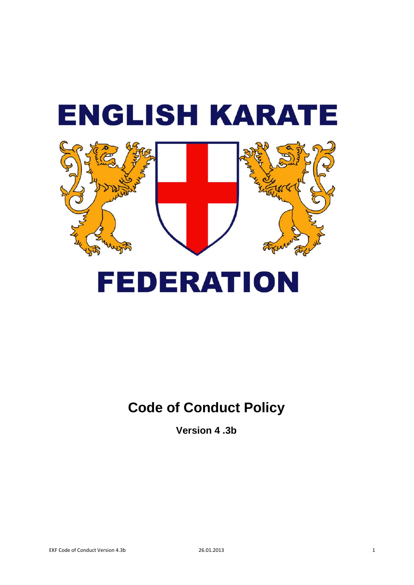# **ENGLISH KARATE FEDERATION**

**Version 4 .3b**

**Code of Conduct Policy**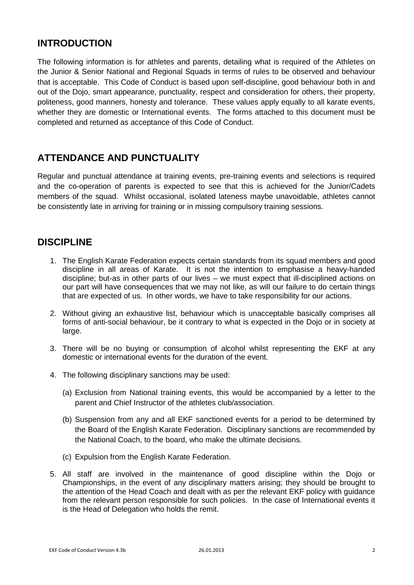# **INTRODUCTION**

The following information is for athletes and parents, detailing what is required of the Athletes on the Junior & Senior National and Regional Squads in terms of rules to be observed and behaviour that is acceptable. This Code of Conduct is based upon self-discipline, good behaviour both in and out of the Dojo, smart appearance, punctuality, respect and consideration for others, their property, politeness, good manners, honesty and tolerance. These values apply equally to all karate events, whether they are domestic or International events. The forms attached to this document must be completed and returned as acceptance of this Code of Conduct.

# **ATTENDANCE AND PUNCTUALITY**

Regular and punctual attendance at training events, pre-training events and selections is required and the co-operation of parents is expected to see that this is achieved for the Junior/Cadets members of the squad. Whilst occasional, isolated lateness maybe unavoidable, athletes cannot be consistently late in arriving for training or in missing compulsory training sessions.

# **DISCIPLINE**

- 1. The English Karate Federation expects certain standards from its squad members and good discipline in all areas of Karate. It is not the intention to emphasise a heavy-handed discipline; but-as in other parts of our lives – we must expect that ill-disciplined actions on our part will have consequences that we may not like, as will our failure to do certain things that are expected of us. In other words, we have to take responsibility for our actions.
- 2. Without giving an exhaustive list, behaviour which is unacceptable basically comprises all forms of anti-social behaviour, be it contrary to what is expected in the Dojo or in society at large.
- 3. There will be no buying or consumption of alcohol whilst representing the EKF at any domestic or international events for the duration of the event.
- 4. The following disciplinary sanctions may be used:
	- (a) Exclusion from National training events, this would be accompanied by a letter to the parent and Chief Instructor of the athletes club/association.
	- (b) Suspension from any and all EKF sanctioned events for a period to be determined by the Board of the English Karate Federation. Disciplinary sanctions are recommended by the National Coach, to the board, who make the ultimate decisions.
	- (c) Expulsion from the English Karate Federation.
- 5. All staff are involved in the maintenance of good discipline within the Dojo or Championships, in the event of any disciplinary matters arising; they should be brought to the attention of the Head Coach and dealt with as per the relevant EKF policy with guidance from the relevant person responsible for such policies. In the case of International events it is the Head of Delegation who holds the remit.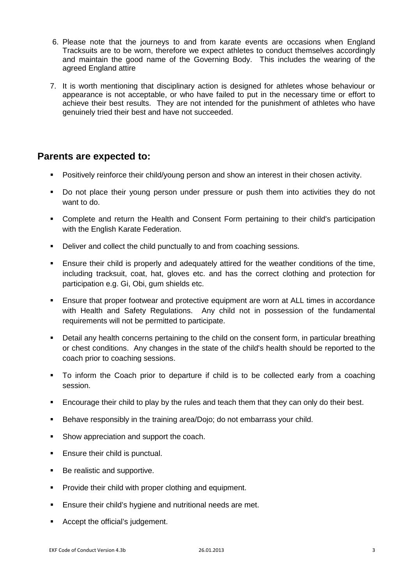- 6. Please note that the journeys to and from karate events are occasions when England Tracksuits are to be worn, therefore we expect athletes to conduct themselves accordingly and maintain the good name of the Governing Body. This includes the wearing of the agreed England attire
- 7. It is worth mentioning that disciplinary action is designed for athletes whose behaviour or appearance is not acceptable, or who have failed to put in the necessary time or effort to achieve their best results. They are not intended for the punishment of athletes who have genuinely tried their best and have not succeeded.

### **Parents are expected to:**

- Positively reinforce their child/young person and show an interest in their chosen activity.
- Do not place their young person under pressure or push them into activities they do not want to do.
- Complete and return the Health and Consent Form pertaining to their child's participation with the English Karate Federation.
- Deliver and collect the child punctually to and from coaching sessions.
- Ensure their child is properly and adequately attired for the weather conditions of the time, including tracksuit, coat, hat, gloves etc. and has the correct clothing and protection for participation e.g. Gi, Obi, gum shields etc.
- Ensure that proper footwear and protective equipment are worn at ALL times in accordance with Health and Safety Regulations. Any child not in possession of the fundamental requirements will not be permitted to participate.
- Detail any health concerns pertaining to the child on the consent form, in particular breathing or chest conditions. Any changes in the state of the child's health should be reported to the coach prior to coaching sessions.
- To inform the Coach prior to departure if child is to be collected early from a coaching session.
- **Encourage their child to play by the rules and teach them that they can only do their best.**
- Behave responsibly in the training area/Dojo; do not embarrass your child.
- **Show appreciation and support the coach.**
- **Ensure their child is punctual.**
- Be realistic and supportive.
- **Provide their child with proper clothing and equipment.**
- **Ensure their child's hygiene and nutritional needs are met.**
- **Accept the official's judgement.**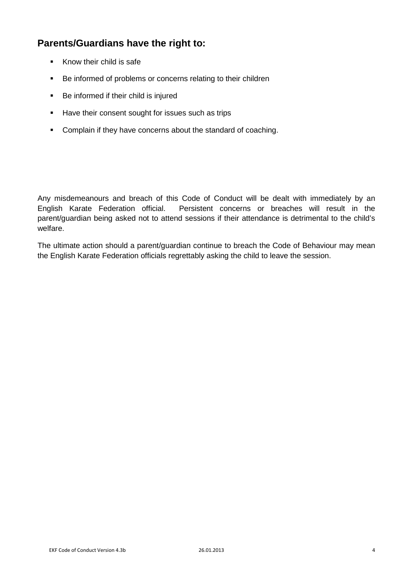# **Parents/Guardians have the right to:**

- Know their child is safe
- Be informed of problems or concerns relating to their children
- Be informed if their child is injured
- Have their consent sought for issues such as trips
- **•** Complain if they have concerns about the standard of coaching.

Any misdemeanours and breach of this Code of Conduct will be dealt with immediately by an English Karate Federation official. Persistent concerns or breaches will result in the parent/guardian being asked not to attend sessions if their attendance is detrimental to the child's welfare.

The ultimate action should a parent/guardian continue to breach the Code of Behaviour may mean the English Karate Federation officials regrettably asking the child to leave the session.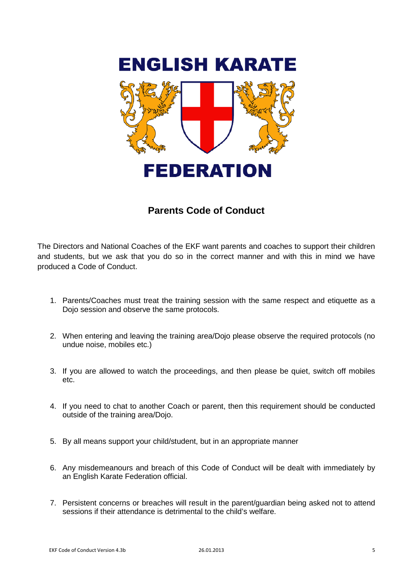

# **Parents Code of Conduct**

The Directors and National Coaches of the EKF want parents and coaches to support their children and students, but we ask that you do so in the correct manner and with this in mind we have produced a Code of Conduct.

- 1. Parents/Coaches must treat the training session with the same respect and etiquette as a Dojo session and observe the same protocols.
- 2. When entering and leaving the training area/Dojo please observe the required protocols (no undue noise, mobiles etc.)
- 3. If you are allowed to watch the proceedings, and then please be quiet, switch off mobiles etc.
- 4. If you need to chat to another Coach or parent, then this requirement should be conducted outside of the training area/Dojo.
- 5. By all means support your child/student, but in an appropriate manner
- 6. Any misdemeanours and breach of this Code of Conduct will be dealt with immediately by an English Karate Federation official.
- 7. Persistent concerns or breaches will result in the parent/guardian being asked not to attend sessions if their attendance is detrimental to the child's welfare.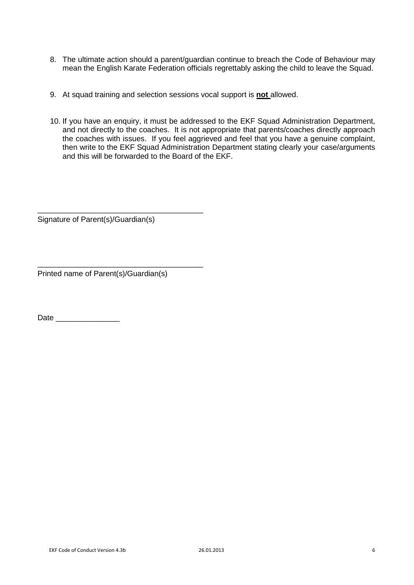- 8. The ultimate action should a parent/guardian continue to breach the Code of Behaviour may mean the English Karate Federation officials regrettably asking the child to leave the Squad.
- 9. At squad training and selection sessions vocal support is **not** allowed.
- 10. If you have an enquiry, it must be addressed to the EKF Squad Administration Department, and not directly to the coaches. It is not appropriate that parents/coaches directly approach the coaches with issues. If you feel aggrieved and feel that you have a genuine complaint, then write to the EKF Squad Administration Department stating clearly your case/arguments and this will be forwarded to the Board of the EKF.

Signature of Parent(s)/Guardian(s)

\_\_\_\_\_\_\_\_\_\_\_\_\_\_\_\_\_\_\_\_\_\_\_\_\_\_\_\_\_\_\_\_\_\_\_\_\_\_\_

\_\_\_\_\_\_\_\_\_\_\_\_\_\_\_\_\_\_\_\_\_\_\_\_\_\_\_\_\_\_\_\_\_\_\_\_\_\_\_

Printed name of Parent(s)/Guardian(s)

Date \_\_\_\_\_\_\_\_\_\_\_\_\_\_\_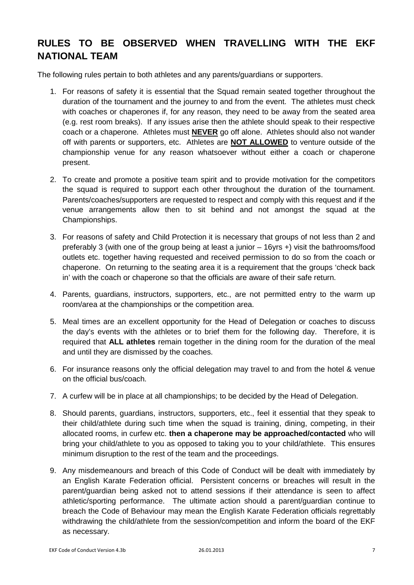# **RULES TO BE OBSERVED WHEN TRAVELLING WITH THE EKF NATIONAL TEAM**

The following rules pertain to both athletes and any parents/guardians or supporters.

- 1. For reasons of safety it is essential that the Squad remain seated together throughout the duration of the tournament and the journey to and from the event. The athletes must check with coaches or chaperones if, for any reason, they need to be away from the seated area (e.g. rest room breaks). If any issues arise then the athlete should speak to their respective coach or a chaperone. Athletes must **NEVER** go off alone. Athletes should also not wander off with parents or supporters, etc. Athletes are **NOT ALLOWED** to venture outside of the championship venue for any reason whatsoever without either a coach or chaperone present.
- 2. To create and promote a positive team spirit and to provide motivation for the competitors the squad is required to support each other throughout the duration of the tournament. Parents/coaches/supporters are requested to respect and comply with this request and if the venue arrangements allow then to sit behind and not amongst the squad at the Championships.
- 3. For reasons of safety and Child Protection it is necessary that groups of not less than 2 and preferably 3 (with one of the group being at least a junior – 16yrs +) visit the bathrooms/food outlets etc. together having requested and received permission to do so from the coach or chaperone. On returning to the seating area it is a requirement that the groups 'check back in' with the coach or chaperone so that the officials are aware of their safe return.
- 4. Parents, guardians, instructors, supporters, etc., are not permitted entry to the warm up room/area at the championships or the competition area.
- 5. Meal times are an excellent opportunity for the Head of Delegation or coaches to discuss the day's events with the athletes or to brief them for the following day. Therefore, it is required that **ALL athletes** remain together in the dining room for the duration of the meal and until they are dismissed by the coaches.
- 6. For insurance reasons only the official delegation may travel to and from the hotel & venue on the official bus/coach.
- 7. A curfew will be in place at all championships; to be decided by the Head of Delegation.
- 8. Should parents, guardians, instructors, supporters, etc., feel it essential that they speak to their child/athlete during such time when the squad is training, dining, competing, in their allocated rooms, in curfew etc. **then a chaperone may be approached/contacted** who will bring your child/athlete to you as opposed to taking you to your child/athlete. This ensures minimum disruption to the rest of the team and the proceedings.
- 9. Any misdemeanours and breach of this Code of Conduct will be dealt with immediately by an English Karate Federation official. Persistent concerns or breaches will result in the parent/guardian being asked not to attend sessions if their attendance is seen to affect athletic/sporting performance. The ultimate action should a parent/guardian continue to breach the Code of Behaviour may mean the English Karate Federation officials regrettably withdrawing the child/athlete from the session/competition and inform the board of the EKF as necessary.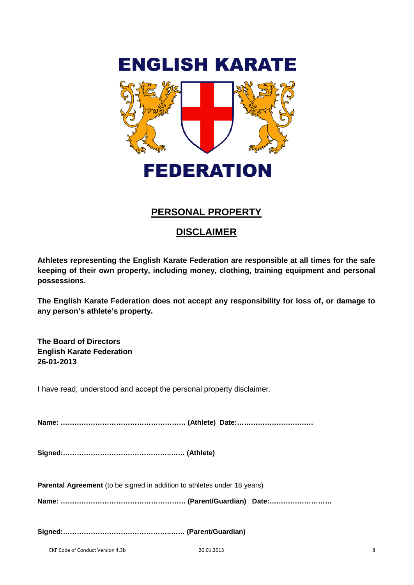

# **PERSONAL PROPERTY**

# **DISCLAIMER**

**Athletes representing the English Karate Federation are responsible at all times for the safe keeping of their own property, including money, clothing, training equipment and personal possessions.** 

**The English Karate Federation does not accept any responsibility for loss of, or damage to any person's athlete's property.**

**The Board of Directors English Karate Federation 26-01-2013**

I have read, understood and accept the personal property disclaimer.

**Name: ……………………………………………… (Athlete) Date:……………………………** 

**Signed:………………………………………..…… (Athlete)**

**Parental Agreement** (to be signed in addition to athletes under 18 years)

**Name: ……………………………………………… (Parent/Guardian) Date:………………………**

**Signed:………………………………………..…… (Parent/Guardian)**

EKF Code of Conduct Version 4.3b 26.01.2013 8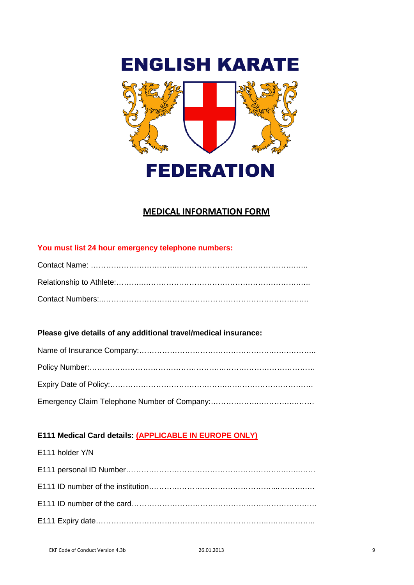

# **MEDICAL INFORMATION FORM**

## **You must list 24 hour emergency telephone numbers:**

### **Please give details of any additional travel/medical insurance:**

### **E111 Medical Card details: (APPLICABLE IN EUROPE ONLY)**

| E111 holder Y/N |
|-----------------|
|                 |
|                 |
|                 |
|                 |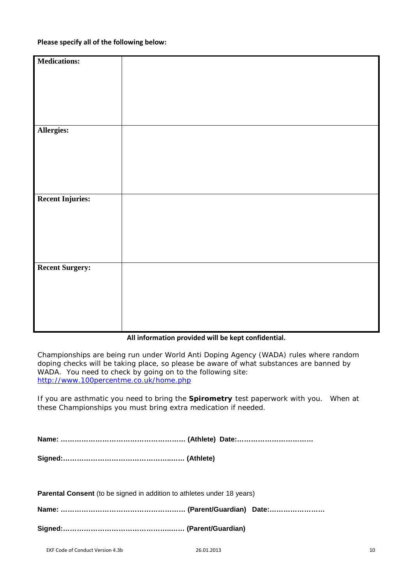### **Please specify all of the following below:**

| <b>Medications:</b>     |  |
|-------------------------|--|
|                         |  |
|                         |  |
|                         |  |
|                         |  |
|                         |  |
|                         |  |
|                         |  |
|                         |  |
|                         |  |
|                         |  |
| Allergies:              |  |
|                         |  |
|                         |  |
|                         |  |
|                         |  |
|                         |  |
|                         |  |
|                         |  |
|                         |  |
|                         |  |
|                         |  |
|                         |  |
| <b>Recent Injuries:</b> |  |
|                         |  |
|                         |  |
|                         |  |
|                         |  |
|                         |  |
|                         |  |
|                         |  |
|                         |  |
|                         |  |
|                         |  |
|                         |  |
| <b>Recent Surgery:</b>  |  |
|                         |  |
|                         |  |
|                         |  |
|                         |  |
|                         |  |
|                         |  |
|                         |  |
|                         |  |
|                         |  |
|                         |  |
|                         |  |

### **All information provided will be kept confidential.**

Championships are being run under World Anti Doping Agency (WADA) rules where random doping checks will be taking place, so please be aware of what substances are banned by WADA. You need to check by going on to the following site: <http://www.100percentme.co.uk/home.php>

If you are asthmatic you need to bring the **Spirometry** test paperwork with you. When at these Championships you must bring extra medication if needed.

| <b>Parental Consent</b> (to be signed in addition to athletes under 18 years) |  |
|-------------------------------------------------------------------------------|--|

**Name: ……………………………………………… (Parent/Guardian) Date:……………………**

**Signed:………………………………………..…… (Parent/Guardian)**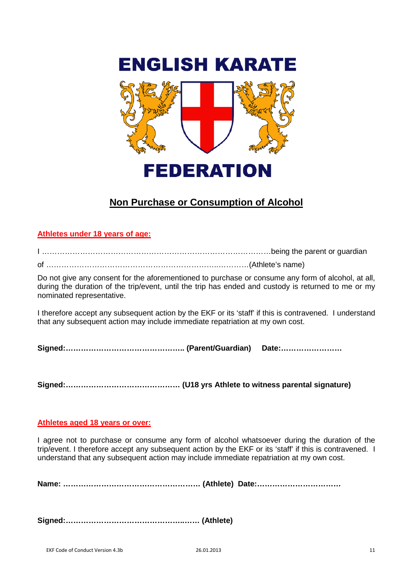

# **Non Purchase or Consumption of Alcohol**

### **Athletes under 18 years of age:**

I ………………………………………………………………………………being the parent or guardian

of …………………………………………………………..…………(Athlete's name)

Do not give any consent for the aforementioned to purchase or consume any form of alcohol, at all, during the duration of the trip/event, until the trip has ended and custody is returned to me or my nominated representative.

I therefore accept any subsequent action by the EKF or its 'staff' if this is contravened. I understand that any subsequent action may include immediate repatriation at my own cost.

**Signed:……………………………………….. (Parent/Guardian) Date:……………………**

**Signed:……………………………………… (U18 yrs Athlete to witness parental signature)**

### **Athletes aged 18 years or over:**

I agree not to purchase or consume any form of alcohol whatsoever during the duration of the trip/event. I therefore accept any subsequent action by the EKF or its 'staff' if this is contravened. I understand that any subsequent action may include immediate repatriation at my own cost.

**Name: ……………………………………………… (Athlete) Date:……………………………** 

**Signed:………………………………………..…… (Athlete)**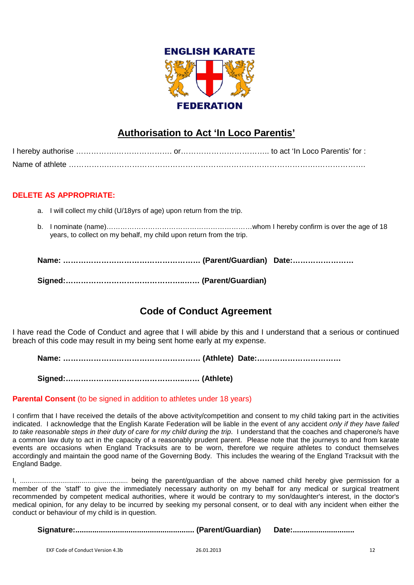

# **Authorisation to Act 'In Loco Parentis'**

### **DELETE AS APPROPRIATE:**

- a. I will collect my child (U/18yrs of age) upon return from the trip.
- b. I nominate (name)………………………………………………………whom I hereby confirm is over the age of 18 years, to collect on my behalf, my child upon return from the trip.

# **Code of Conduct Agreement**

I have read the Code of Conduct and agree that I will abide by this and I understand that a serious or continued breach of this code may result in my being sent home early at my expense.

**Name: ……………………………………………… (Athlete) Date:……………………………** 

**Signed:………………………………………..…… (Athlete)**

### **Parental Consent** (to be signed in addition to athletes under 18 years)

I confirm that I have received the details of the above activity/competition and consent to my child taking part in the activities indicated. I acknowledge that the English Karate Federation will be liable in the event of any accident *only if they have failed*  to take reasonable steps in their duty of care for my child during the trip. I understand that the coaches and chaperone/s have a common law duty to act in the capacity of a reasonably prudent parent. Please note that the journeys to and from karate events are occasions when England Tracksuits are to be worn, therefore we require athletes to conduct themselves accordingly and maintain the good name of the Governing Body. This includes the wearing of the England Tracksuit with the England Badge.

I, ........................................................ being the parent/guardian of the above named child hereby give permission for a member of the 'staff' to give the immediately necessary authority on my behalf for any medical or surgical treatment recommended by competent medical authorities, where it would be contrary to my son/daughter's interest, in the doctor's medical opinion, for any delay to be incurred by seeking my personal consent, or to deal with any incident when either the conduct or behaviour of my child is in question.

**Signature:........................................................ (Parent/Guardian) Date:.............................**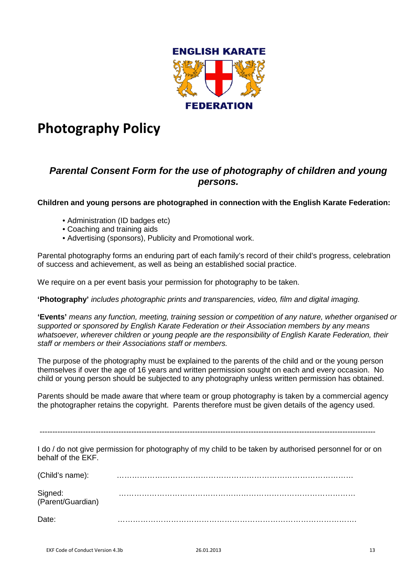

# **Photography Policy**

# *Parental Consent Form for the use of photography of children and young persons.*

### **Children and young persons are photographed in connection with the English Karate Federation:**

- Administration (ID badges etc)
- Coaching and training aids
- Advertising (sponsors), Publicity and Promotional work.

Parental photography forms an enduring part of each family's record of their child's progress, celebration of success and achievement, as well as being an established social practice.

We require on a per event basis your permission for photography to be taken.

**'Photography'** *includes photographic prints and transparencies, video, film and digital imaging.*

**'Events'** *means any function, meeting, training session or competition of any nature, whether organised or supported or sponsored by English Karate Federation or their Association members by any means whatsoever, wherever children or young people are the responsibility of English Karate Federation, their staff or members or their Associations staff or members.*

The purpose of the photography must be explained to the parents of the child and or the young person themselves if over the age of 16 years and written permission sought on each and every occasion. No child or young person should be subjected to any photography unless written permission has obtained.

Parents should be made aware that where team or group photography is taken by a commercial agency the photographer retains the copyright. Parents therefore must be given details of the agency used.

------------------------------------------------------------------------------------------------------------------------------------

I do / do not give permission for photography of my child to be taken by authorised personnel for or on behalf of the EKF.

| (Child's name):              |  |
|------------------------------|--|
| Signed:<br>(Parent/Guardian) |  |
| Date:                        |  |